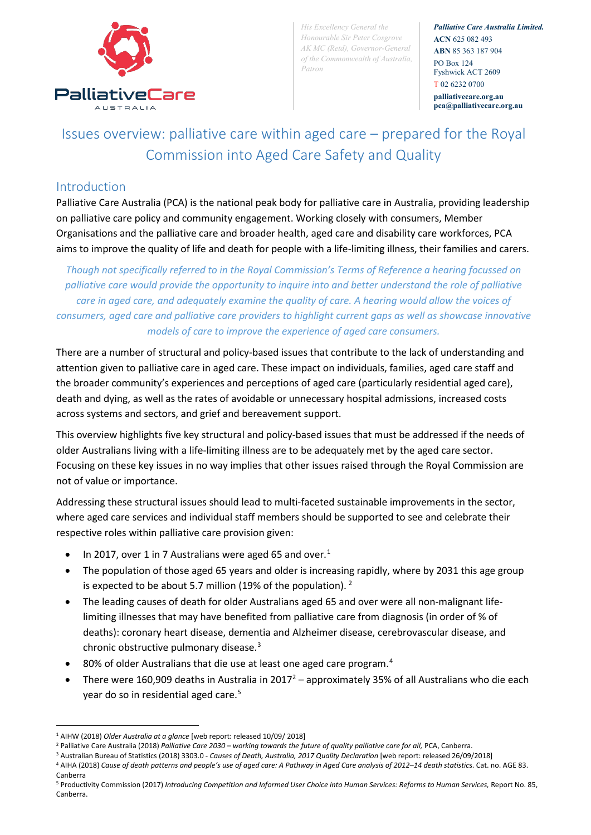

*His Excellency General the Honourable Sir Peter Cosgrove AK MC (Retd), Governor-General of the Commonwealth of Australia, Patron*

*Palliative Care Australia Limited.* **ACN** 625 082 493 **ABN** 85 363 187 904 PO Box 124 Fyshwick ACT 2609 T 02 6232 0700

**palliativecare.org.au pca@palliativecare.org.au**

# Issues overview: palliative care within aged care – prepared for the Royal Commission into Aged Care Safety and Quality

#### Introduction

Palliative Care Australia (PCA) is the national peak body for palliative care in Australia, providing leadership on palliative care policy and community engagement. Working closely with consumers, Member Organisations and the palliative care and broader health, aged care and disability care workforces, PCA aims to improve the quality of life and death for people with a life-limiting illness, their families and carers.

*Though not specifically referred to in the Royal Commission's Terms of Reference a hearing focussed on palliative care would provide the opportunity to inquire into and better understand the role of palliative care in aged care, and adequately examine the quality of care. A hearing would allow the voices of consumers, aged care and palliative care providers to highlight current gaps as well as showcase innovative models of care to improve the experience of aged care consumers.*

There are a number of structural and policy-based issues that contribute to the lack of understanding and attention given to palliative care in aged care. These impact on individuals, families, aged care staff and the broader community's experiences and perceptions of aged care (particularly residential aged care), death and dying, as well as the rates of avoidable or unnecessary hospital admissions, increased costs across systems and sectors, and grief and bereavement support.

This overview highlights five key structural and policy-based issues that must be addressed if the needs of older Australians living with a life-limiting illness are to be adequately met by the aged care sector. Focusing on these key issues in no way implies that other issues raised through the Royal Commission are not of value or importance.

Addressing these structural issues should lead to multi-faceted sustainable improvements in the sector, where aged care services and individual staff members should be supported to see and celebrate their respective roles within palliative care provision given:

- In 20[1](#page-0-0)7, over 1 in 7 Australians were aged 65 and over.<sup>1</sup>
- The population of those aged 65 years and older is increasing rapidly, where by 2031 this age group is expected to be about 5.7 million (19% of the population). [2](#page-0-1)
- The leading causes of death for older Australians aged 65 and over were all non-malignant lifelimiting illnesses that may have benefited from palliative care from diagnosis (in order of % of deaths): coronary heart disease, dementia and Alzheimer disease, cerebrovascular disease, and chronic obstructive pulmonary disease.[3](#page-0-2)
- 80% of older Australians that die use at least one aged care program.<sup>[4](#page-0-3)</sup>
- There were 160,909 deaths in Australia in  $2017^2$  approximately 35% of all Australians who die each year do so in residential aged care.<sup>[5](#page-0-4)</sup>

<sup>&</sup>lt;u>.</u> <sup>1</sup> AIHW (2018) *Older Australia at a glance* [web report: released 10/09/ 2018]

<span id="page-0-1"></span><span id="page-0-0"></span><sup>&</sup>lt;sup>2</sup> Palliative Care Australia (2018) Palliative Care 2030 – working towards the future of quality palliative care for all, PCA, Canberra.

<sup>3</sup> Australian Bureau of Statistics (2018) 3303.0 - *Causes of Death, Australia, 2017 Quality Declaration* [web report: released 26/09/2018]

<span id="page-0-3"></span><span id="page-0-2"></span><sup>4</sup> AIHA (2018) Cause of death patterns and people's use of aged care: A Pathway in Aged Care analysis of 2012-14 death statistics. Cat. no. AGE 83. Canberra

<span id="page-0-4"></span><sup>&</sup>lt;sup>5</sup> Productivity Commission (2017) Introducing Competition and Informed User Choice into Human Services: Reforms to Human Services, Report No. 85, Canberra.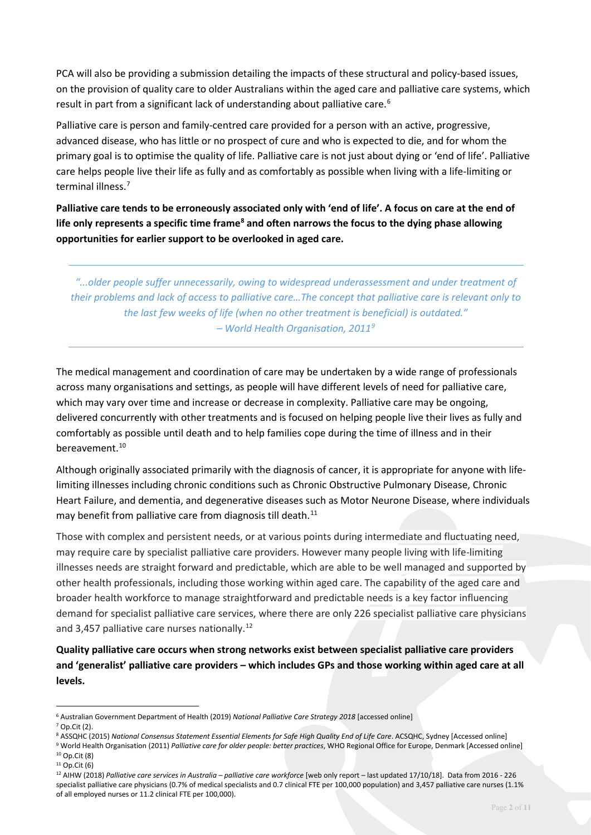PCA will also be providing a submission detailing the impacts of these structural and policy-based issues, on the provision of quality care to older Australians within the aged care and palliative care systems, which result in part from a significant lack of understanding about palliative care.<sup>[6](#page-1-0)</sup>

Palliative care is person and family-centred care provided for a person with an active, progressive, advanced disease, who has little or no prospect of cure and who is expected to die, and for whom the primary goal is to optimise the quality of life. Palliative care is not just about dying or 'end of life'. Palliative care helps people live their life as fully and as comfortably as possible when living with a life-limiting or terminal illness.<sup>[7](#page-1-1)</sup>

**Palliative care tends to be erroneously associated only with 'end of life'. A focus on care at the end of life only represents a specific time frame[8](#page-1-2) and often narrows the focus to the dying phase allowing opportunities for earlier support to be overlooked in aged care.** 

*"...older people suffer unnecessarily, owing to widespread underassessment and under treatment of their problems and lack of access to palliative care…The concept that palliative care is relevant only to the last few weeks of life (when no other treatment is beneficial) is outdated." – World Health Organisation, 2011[9](#page-1-3)*

The medical management and coordination of care may be undertaken by a wide range of professionals across many organisations and settings, as people will have different levels of need for palliative care, which may vary over time and increase or decrease in complexity. Palliative care may be ongoing, delivered concurrently with other treatments and is focused on helping people live their lives as fully and comfortably as possible until death and to help families cope during the time of illness and in their bereavement.<sup>10</sup>

Although originally associated primarily with the diagnosis of cancer, it is appropriate for anyone with lifelimiting illnesses including chronic conditions such as Chronic Obstructive Pulmonary Disease, Chronic Heart Failure, and dementia, and degenerative diseases such as Motor Neurone Disease, where individuals may benefit from palliative care from diagnosis till death.<sup>[11](#page-1-5)</sup>

Those with complex and persistent needs, or at various points during intermediate and fluctuating need, may require care by specialist palliative care providers. However many people living with life-limiting illnesses needs are straight forward and predictable, which are able to be well managed and supported by other health professionals, including those working within aged care. The capability of the aged care and broader health workforce to manage straightforward and predictable needs is a key factor influencing demand for specialist palliative care services, where there are only 226 specialist palliative care physicians and 3,457 palliative care nurses nationally.<sup>[12](#page-1-6)</sup>

**Quality palliative care occurs when strong networks exist between specialist palliative care providers and 'generalist' palliative care providers – which includes GPs and those working within aged care at all levels.**

<span id="page-1-0"></span><sup>6</sup> Australian Government Department of Health (2019) *National Palliative Care Strategy 2018* [accessed online]

<span id="page-1-1"></span><sup>7</sup> Op.Cit (2).

<span id="page-1-2"></span><sup>&</sup>lt;sup>8</sup> ASSQHC (2015) National Consensus Statement Essential Elements for Safe High Quality End of Life Care. ACSQHC, Sydney [Accessed online]

<span id="page-1-3"></span><sup>9</sup> World Health Organisation (2011) *Palliative care for older people: better practices*, WHO Regional Office for Europe, Denmark [Accessed online] <sup>10</sup> Op.Cit (8)

<span id="page-1-5"></span><span id="page-1-4"></span> $11$  Op.Cit (6)

<span id="page-1-6"></span><sup>12</sup> AIHW (2018) *Palliative care services in Australia – palliative care workforce* [web only report – last updated 17/10/18]. Data from 2016 - 226 specialist palliative care physicians (0.7% of medical specialists and 0.7 clinical FTE per 100,000 population) and 3,457 palliative care nurses (1.1% of all employed nurses or 11.2 clinical FTE per 100,000).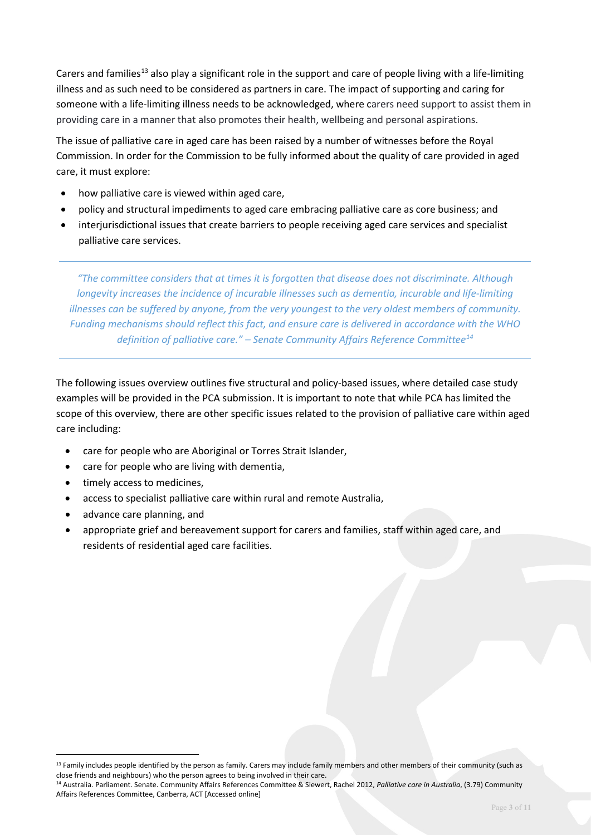Carers and families<sup>[13](#page-2-0)</sup> also play a significant role in the support and care of people living with a life-limiting illness and as such need to be considered as partners in care. The impact of supporting and caring for someone with a life-limiting illness needs to be acknowledged, where carers need support to assist them in providing care in a manner that also promotes their health, wellbeing and personal aspirations.

The issue of palliative care in aged care has been raised by a number of witnesses before the Royal Commission. In order for the Commission to be fully informed about the quality of care provided in aged care, it must explore:

- how palliative care is viewed within aged care,
- policy and structural impediments to aged care embracing palliative care as core business; and
- interjurisdictional issues that create barriers to people receiving aged care services and specialist palliative care services.

*"The committee considers that at times it is forgotten that disease does not discriminate. Although longevity increases the incidence of incurable illnesses such as dementia, incurable and life-limiting illnesses can be suffered by anyone, from the very youngest to the very oldest members of community. Funding mechanisms should reflect this fact, and ensure care is delivered in accordance with the WHO definition of palliative care." – Senate Community Affairs Reference Committee[14](#page-2-1)*

The following issues overview outlines five structural and policy-based issues, where detailed case study examples will be provided in the PCA submission. It is important to note that while PCA has limited the scope of this overview, there are other specific issues related to the provision of palliative care within aged care including:

- care for people who are Aboriginal or Torres Strait Islander,
- care for people who are living with dementia,
- timely access to medicines,
- access to specialist palliative care within rural and remote Australia,
- advance care planning, and

<u>.</u>

• appropriate grief and bereavement support for carers and families, staff within aged care, and residents of residential aged care facilities.

<span id="page-2-0"></span><sup>&</sup>lt;sup>13</sup> Family includes people identified by the person as family. Carers may include family members and other members of their community (such as close friends and neighbours) who the person agrees to being involved in their care.

<span id="page-2-1"></span><sup>14</sup> Australia. Parliament. Senate. Community Affairs References Committee & Siewert, Rachel 2012, *Palliative care in Australia*, (3.79) Community Affairs References Committee, Canberra, ACT [Accessed online]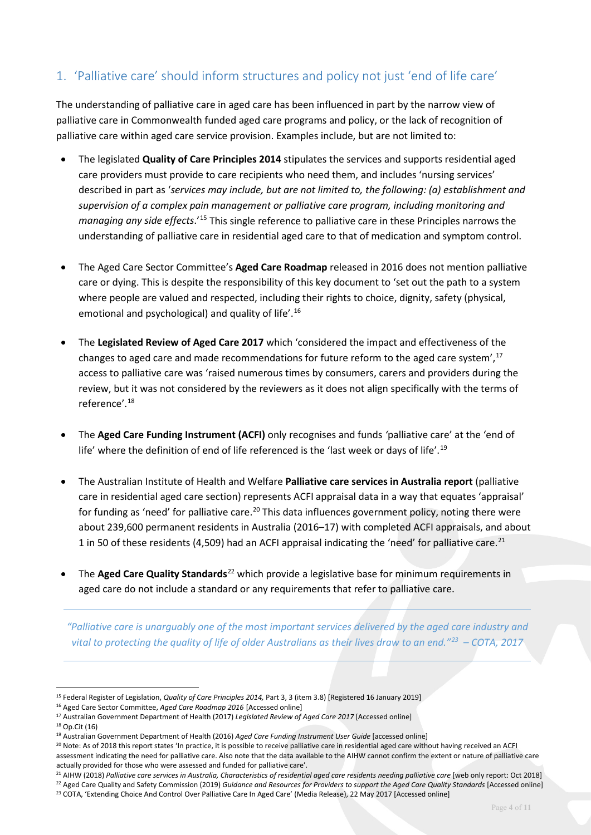## 1. 'Palliative care' should inform structures and policy not just 'end of life care'

The understanding of palliative care in aged care has been influenced in part by the narrow view of palliative care in Commonwealth funded aged care programs and policy, or the lack of recognition of palliative care within aged care service provision. Examples include, but are not limited to:

- The legislated **Quality of Care Principles 2014** stipulates the services and supports residential aged care providers must provide to care recipients who need them, and includes 'nursing services' described in part as '*services may include, but are not limited to, the following: (a) establishment and supervision of a complex pain management or palliative care program, including monitoring and managing any side effects*.'[15](#page-3-0) This single reference to palliative care in these Principles narrows the understanding of palliative care in residential aged care to that of medication and symptom control.
- The Aged Care Sector Committee's **Aged Care Roadmap** released in 2016 does not mention palliative care or dying. This is despite the responsibility of this key document to 'set out the path to a system where people are valued and respected, including their rights to choice, dignity, safety (physical, emotional and psychological) and quality of life'.[16](#page-3-1)
- The **Legislated Review of Aged Care 2017** which 'considered the impact and effectiveness of the changes to aged care and made recommendations for future reform to the aged care system',<sup>[17](#page-3-2)</sup> access to palliative care was 'raised numerous times by consumers, carers and providers during the review, but it was not considered by the reviewers as it does not align specifically with the terms of reference'.[18](#page-3-3)
- The **Aged Care Funding Instrument (ACFI)** only recognises and funds *'*palliative care' at the 'end of life' where the definition of end of life referenced is the 'last week or days of life'.<sup>19</sup>
- The Australian Institute of Health and Welfare **Palliative care services in Australia report** (palliative care in residential aged care section) represents ACFI appraisal data in a way that equates 'appraisal' for funding as 'need' for palliative care.<sup>[20](#page-3-5)</sup> This data influences government policy, noting there were about 239,600 permanent residents in Australia (2016–17) with completed ACFI appraisals, and about 1 in 50 of these residents (4,509) had an ACFI appraisal indicating the 'need' for palliative care.<sup>[21](#page-3-6)</sup>
- The **Aged Care Quality Standards**<sup>[22](#page-3-7)</sup> which provide a legislative base for minimum requirements in aged care do not include a standard or any requirements that refer to palliative care.

*"Palliative care is unarguably one of the most important services delivered by the aged care industry and vital to protecting the quality of life of older Australians as their lives draw to an end."[23](#page-3-8) – COTA, 2017*

<span id="page-3-0"></span><sup>15</sup> Federal Register of Legislation, *Quality of Care Principles 2014,* Part 3, 3 (item 3.8) [Registered 16 January 2019]

<span id="page-3-1"></span><sup>16</sup> Aged Care Sector Committee, *Aged Care Roadmap 2016* [Accessed online]

<span id="page-3-2"></span><sup>17</sup> Australian Government Department of Health (2017) *Legislated Review of Aged Care 2017* [Accessed online]

<span id="page-3-3"></span> $18$  On Cit (16)

<span id="page-3-4"></span><sup>19</sup> Australian Government Department of Health (2016) *Aged Care Funding Instrument User Guide* [accessed online]

<span id="page-3-5"></span><sup>&</sup>lt;sup>20</sup> Note: As of 2018 this report states 'In practice, it is possible to receive palliative care in residential aged care without having received an ACFI assessment indicating the need for palliative care. Also note that the data available to the AIHW cannot confirm the extent or nature of palliative care actually provided for those who were assessed and funded for palliative care'.

<sup>&</sup>lt;sup>21</sup> AIHW (2018) Palliative care services in Australia, Characteristics of residential aged care residents needing palliative care [web only report: Oct 2018]

<span id="page-3-8"></span><span id="page-3-7"></span><span id="page-3-6"></span><sup>&</sup>lt;sup>22</sup> Aged Care Quality and Safety Commission (2019) Guidance and Resources for Providers to support the Aged Care Quality Standards [Accessed online] <sup>23</sup> COTA, 'Extending Choice And Control Over Palliative Care In Aged Care' (Media Release), 22 May 2017 [Accessed online]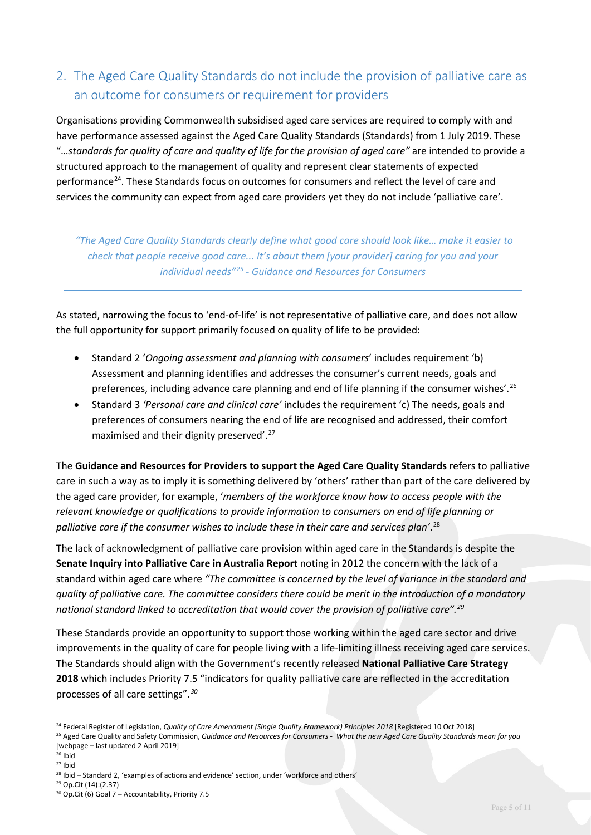# 2. The Aged Care Quality Standards do not include the provision of palliative care as an outcome for consumers or requirement for providers

Organisations providing Commonwealth subsidised aged care services are required to comply with and have performance assessed against the Aged Care Quality Standards (Standards) from 1 July 2019. These "…*standards for quality of care and quality of life for the provision of aged care"* are intended to provide a structured approach to the management of quality and represent clear statements of expected performance[24](#page-4-0). These Standards focus on outcomes for consumers and reflect the level of care and services the community can expect from aged care providers yet they do not include 'palliative care'.

*"The Aged Care Quality Standards clearly define what good care should look like… make it easier to check that people receive good care... It's about them [your provider] caring for you and your individual needs"[25](#page-4-1) - Guidance and Resources for Consumers* 

As stated, narrowing the focus to 'end-of-life' is not representative of palliative care, and does not allow the full opportunity for support primarily focused on quality of life to be provided:

- Standard 2 '*Ongoing assessment and planning with consumers*' includes requirement 'b) Assessment and planning identifies and addresses the consumer's current needs, goals and preferences, including advance care planning and end of life planning if the consumer wishes'.<sup>[26](#page-4-2)</sup>
- Standard 3 *'Personal care and clinical care'* includes the requirement 'c) The needs, goals and preferences of consumers nearing the end of life are recognised and addressed, their comfort maximised and their dignity preserved'.<sup>[27](#page-4-3)</sup>

The **Guidance and Resources for Providers to support the Aged Care Quality Standards** refers to palliative care in such a way as to imply it is something delivered by 'others' rather than part of the care delivered by the aged care provider, for example, '*members of the workforce know how to access people with the relevant knowledge or qualifications to provide information to consumers on end of life planning or palliative care if the consumer wishes to include these in their care and services plan'*. [28](#page-4-4)

The lack of acknowledgment of palliative care provision within aged care in the Standards is despite the **Senate Inquiry into Palliative Care in Australia Report** noting in 2012 the concern with the lack of a standard within aged care where *"The committee is concerned by the level of variance in the standard and quality of palliative care. The committee considers there could be merit in the introduction of a mandatory national standard linked to accreditation that would cover the provision of palliative care". [29](#page-4-5)*

These Standards provide an opportunity to support those working within the aged care sector and drive improvements in the quality of care for people living with a life-limiting illness receiving aged care services. The Standards should align with the Government's recently released **National Palliative Care Strategy 2018** which includes Priority 7.5 "indicators for quality palliative care are reflected in the accreditation processes of all care settings".*[30](#page-4-6)*

<span id="page-4-0"></span><sup>24</sup> Federal Register of Legislation, *Quality of Care Amendment (Single Quality Framework) Principles 2018* [Registered 10 Oct 2018]

<span id="page-4-1"></span><sup>&</sup>lt;sup>25</sup> Aged Care Quality and Safety Commission, Guidance and Resources for Consumers - What the new Aged Care Quality Standards mean for you [webpage – last updated 2 April 2019]

<span id="page-4-2"></span> $26$  Ibid

<span id="page-4-3"></span><sup>27</sup> Ibid

<span id="page-4-4"></span><sup>&</sup>lt;sup>28</sup> Ibid – Standard 2, 'examples of actions and evidence' section, under 'workforce and others'

<span id="page-4-6"></span><span id="page-4-5"></span><sup>29</sup> Op.Cit (14):(2.37) <sup>30</sup> Op.Cit (6) Goal 7 – Accountability, Priority 7.5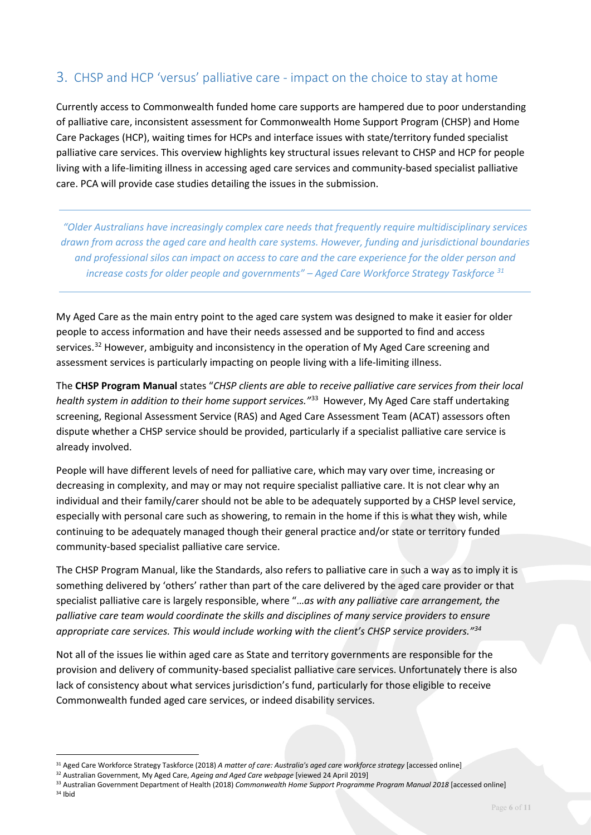#### 3. CHSP and HCP 'versus' palliative care - impact on the choice to stay at home

Currently access to Commonwealth funded home care supports are hampered due to poor understanding of palliative care, inconsistent assessment for Commonwealth Home Support Program (CHSP) and Home Care Packages (HCP), waiting times for HCPs and interface issues with state/territory funded specialist palliative care services. This overview highlights key structural issues relevant to CHSP and HCP for people living with a life-limiting illness in accessing aged care services and community-based specialist palliative care. PCA will provide case studies detailing the issues in the submission.

*"Older Australians have increasingly complex care needs that frequently require multidisciplinary services drawn from across the aged care and health care systems. However, funding and jurisdictional boundaries and professional silos can impact on access to care and the care experience for the older person and increase costs for older people and governments" – Aged Care Workforce Strategy Taskforce [31](#page-5-0)*

My Aged Care as the main entry point to the aged care system was designed to make it easier for older people to access information and have their needs assessed and be supported to find and access services.<sup>[32](#page-5-1)</sup> However, ambiguity and inconsistency in the operation of My Aged Care screening and assessment services is particularly impacting on people living with a life-limiting illness.

The **CHSP Program Manual** states "*CHSP clients are able to receive palliative care services from their local health system in addition to their home support services."*[33](#page-5-2) However, My Aged Care staff undertaking screening, Regional Assessment Service (RAS) and Aged Care Assessment Team (ACAT) assessors often dispute whether a CHSP service should be provided, particularly if a specialist palliative care service is already involved.

People will have different levels of need for palliative care, which may vary over time, increasing or decreasing in complexity, and may or may not require specialist palliative care. It is not clear why an individual and their family/carer should not be able to be adequately supported by a CHSP level service, especially with personal care such as showering, to remain in the home if this is what they wish, while continuing to be adequately managed though their general practice and/or state or territory funded community-based specialist palliative care service.

The CHSP Program Manual, like the Standards, also refers to palliative care in such a way as to imply it is something delivered by 'others' rather than part of the care delivered by the aged care provider or that specialist palliative care is largely responsible, where "…*as with any palliative care arrangement, the palliative care team would coordinate the skills and disciplines of many service providers to ensure appropriate care services. This would include working with the client's CHSP service providers."[34](#page-5-3)*

Not all of the issues lie within aged care as State and territory governments are responsible for the provision and delivery of community-based specialist palliative care services. Unfortunately there is also lack of consistency about what services jurisdiction's fund, particularly for those eligible to receive Commonwealth funded aged care services, or indeed disability services.

<span id="page-5-0"></span><sup>31</sup> Aged Care Workforce Strategy Taskforce (2018) *A matter of care: Australia's aged care workforce strategy* [accessed online]

<span id="page-5-1"></span><sup>32</sup> Australian Government, My Aged Care, *Ageing and Aged Care webpage* [viewed 24 April 2019]

<span id="page-5-3"></span><span id="page-5-2"></span><sup>33</sup> Australian Government Department of Health (2018) *Commonwealth Home Support Programme Program Manual 2018* [accessed online]  $34$  Ihid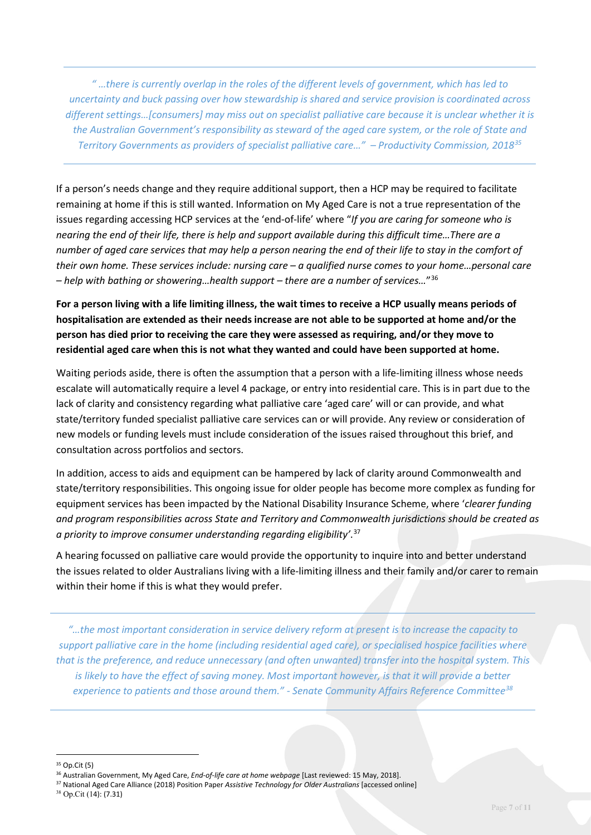*" …there is currently overlap in the roles of the different levels of government, which has led to uncertainty and buck passing over how stewardship is shared and service provision is coordinated across different settings…[consumers] may miss out on specialist palliative care because it is unclear whether it is the Australian Government's responsibility as steward of the aged care system, or the role of State and Territory Governments as providers of specialist palliative care…" – Productivity Commission, 2018[35](#page-6-0)*

If a person's needs change and they require additional support, then a HCP may be required to facilitate remaining at home if this is still wanted. Information on My Aged Care is not a true representation of the issues regarding accessing HCP services at the 'end-of-life' where "*If you are caring for someone who is nearing the end of their life, there is help and support available during this difficult time…There are a number of aged care services that may help a person nearing the end of their life to stay in the comfort of their own home. These services include: nursing care – a qualified nurse comes to your home…personal care – help with bathing or showering…health support – there are a number of services…*"[36](#page-6-1)

**For a person living with a life limiting illness, the wait times to receive a HCP usually means periods of hospitalisation are extended as their needs increase are not able to be supported at home and/or the person has died prior to receiving the care they were assessed as requiring, and/or they move to residential aged care when this is not what they wanted and could have been supported at home.** 

Waiting periods aside, there is often the assumption that a person with a life-limiting illness whose needs escalate will automatically require a level 4 package, or entry into residential care. This is in part due to the lack of clarity and consistency regarding what palliative care 'aged care' will or can provide, and what state/territory funded specialist palliative care services can or will provide. Any review or consideration of new models or funding levels must include consideration of the issues raised throughout this brief, and consultation across portfolios and sectors.

In addition, access to aids and equipment can be hampered by lack of clarity around Commonwealth and state/territory responsibilities. This ongoing issue for older people has become more complex as funding for equipment services has been impacted by the National Disability Insurance Scheme, where '*clearer funding and program responsibilities across State and Territory and Commonwealth jurisdictions should be created as a priority to improve consumer understanding regarding eligibility'*. [37](#page-6-2)

A hearing focussed on palliative care would provide the opportunity to inquire into and better understand the issues related to older Australians living with a life-limiting illness and their family and/or carer to remain within their home if this is what they would prefer.

*"…the most important consideration in service delivery reform at present is to increase the capacity to support palliative care in the home (including residential aged care), or specialised hospice facilities where that is the preference, and reduce unnecessary (and often unwanted) transfer into the hospital system. This*  is likely to have the effect of saving money. Most important however, is that it will provide a better *experience to patients and those around them." - Senate Community Affairs Reference Committee[38](#page-6-3)*

<u>.</u>

<span id="page-6-2"></span><sup>37</sup> National Aged Care Alliance (2018) Position Paper *Assistive Technology for Older Australians* [accessed online]

<span id="page-6-0"></span><sup>35</sup> Op.Cit (5)

<span id="page-6-1"></span><sup>36</sup> Australian Government, My Aged Care, *End-of-life care at home webpage* [Last reviewed: 15 May, 2018].

<span id="page-6-3"></span><sup>38</sup> Op.Cit (14): (7.31)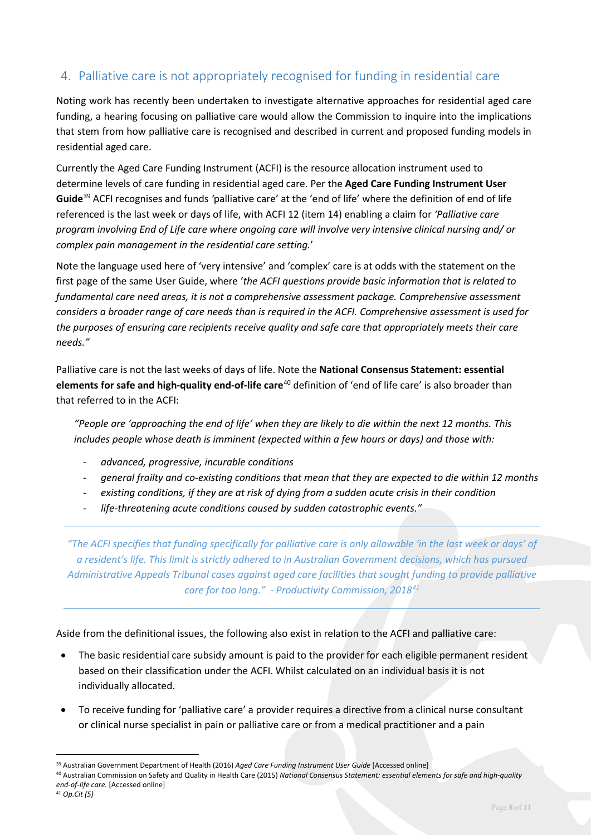### 4. Palliative care is not appropriately recognised for funding in residential care

Noting work has recently been undertaken to investigate alternative approaches for residential aged care funding, a hearing focusing on palliative care would allow the Commission to inquire into the implications that stem from how palliative care is recognised and described in current and proposed funding models in residential aged care.

Currently the Aged Care Funding Instrument (ACFI) is the resource allocation instrument used to determine levels of care funding in residential aged care. Per the **Aged Care Funding Instrument User Guide**[39](#page-7-0) ACFI recognises and funds *'*palliative care' at the 'end of life' where the definition of end of life referenced is the last week or days of life, with ACFI 12 (item 14) enabling a claim for *'Palliative care program involving End of Life care where ongoing care will involve very intensive clinical nursing and/ or complex pain management in the residential care setting.*'

Note the language used here of 'very intensive' and 'complex' care is at odds with the statement on the first page of the same User Guide, where '*the ACFI questions provide basic information that is related to fundamental care need areas, it is not a comprehensive assessment package. Comprehensive assessment considers a broader range of care needs than is required in the ACFI. Comprehensive assessment is used for the purposes of ensuring care recipients receive quality and safe care that appropriately meets their care needs."*

Palliative care is not the last weeks of days of life. Note the **National Consensus Statement: essential elements for safe and high-quality end-of-life care**[40](#page-7-1) definition of 'end of life care' is also broader than that referred to in the ACFI:

*"People are 'approaching the end of life' when they are likely to die within the next 12 months. This includes people whose death is imminent (expected within a few hours or days) and those with:*

- *advanced, progressive, incurable conditions*
- *general frailty and co-existing conditions that mean that they are expected to die within 12 months*
- *existing conditions, if they are at risk of dying from a sudden acute crisis in their condition*
- *life-threatening acute conditions caused by sudden catastrophic events."*

*"The ACFI specifies that funding specifically for palliative care is only allowable 'in the last week or days' of a resident's life. This limit is strictly adhered to in Australian Government decisions, which has pursued Administrative Appeals Tribunal cases against aged care facilities that sought funding to provide palliative care for too long." - Productivity Commission, 2018[41](#page-7-2)*

Aside from the definitional issues, the following also exist in relation to the ACFI and palliative care:

- The basic residential care subsidy amount is paid to the provider for each eligible permanent resident based on their classification under the ACFI. Whilst calculated on an individual basis it is not individually allocated.
- To receive funding for 'palliative care' a provider requires a directive from a clinical nurse consultant or clinical nurse specialist in pain or palliative care or from a medical practitioner and a pain

<span id="page-7-0"></span><sup>39</sup> Australian Government Department of Health (2016) *Aged Care Funding Instrument User Guide* [Accessed online]

<span id="page-7-2"></span><span id="page-7-1"></span><sup>40</sup> Australian Commission on Safety and Quality in Health Care (2015) *National Consensus Statement: essential elements for safe and high-quality end-of-life care.* [Accessed online]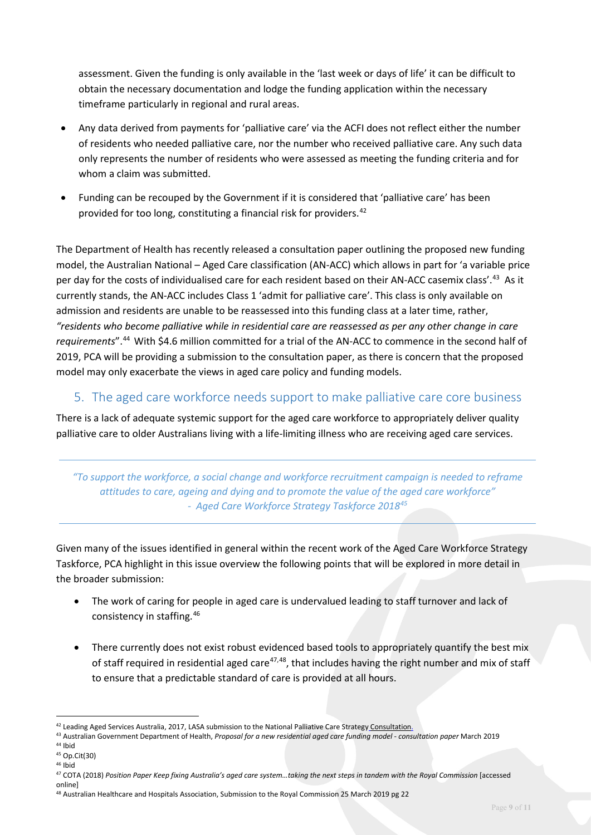assessment. Given the funding is only available in the 'last week or days of life' it can be difficult to obtain the necessary documentation and lodge the funding application within the necessary timeframe particularly in regional and rural areas.

- Any data derived from payments for 'palliative care' via the ACFI does not reflect either the number of residents who needed palliative care, nor the number who received palliative care. Any such data only represents the number of residents who were assessed as meeting the funding criteria and for whom a claim was submitted.
- Funding can be recouped by the Government if it is considered that 'palliative care' has been provided for too long, constituting a financial risk for providers.<sup>[42](#page-8-0)</sup>

The Department of Health has recently released a consultation paper outlining the proposed new funding model, the Australian National – Aged Care classification (AN-ACC) which allows in part for 'a variable price per day for the costs of individualised care for each resident based on their AN-ACC casemix class'[.43](#page-8-1) As it currently stands, the AN-ACC includes Class 1 'admit for palliative care'. This class is only available on admission and residents are unable to be reassessed into this funding class at a later time, rather, *"residents who become palliative while in residential care are reassessed as per any other change in care requirements*".[44](#page-8-2) With \$4.6 million committed for a trial of the AN-ACC to commence in the second half of 2019, PCA will be providing a submission to the consultation paper, as there is concern that the proposed model may only exacerbate the views in aged care policy and funding models.

#### 5. The aged care workforce needs support to make palliative care core business

There is a lack of adequate systemic support for the aged care workforce to appropriately deliver quality palliative care to older Australians living with a life-limiting illness who are receiving aged care services.

*"To support the workforce, a social change and workforce recruitment campaign is needed to reframe attitudes to care, ageing and dying and to promote the value of the aged care workforce" - Aged Care Workforce Strategy Taskforce 2018[45](#page-8-3)*

Given many of the issues identified in general within the recent work of the Aged Care Workforce Strategy Taskforce, PCA highlight in this issue overview the following points that will be explored in more detail in the broader submission:

- The work of caring for people in aged care is undervalued leading to staff turnover and lack of consistency in staffing.[46](#page-8-4)
- There currently does not exist robust evidenced based tools to appropriately quantify the best mix of staff required in residential aged care<sup>[47](#page-8-5),[48](#page-8-6)</sup>, that includes having the right number and mix of staff to ensure that a predictable standard of care is provided at all hours.

<span id="page-8-0"></span><sup>&</sup>lt;sup>42</sup> Leading Aged Services Australia, 2017, LASA submission to the National Palliative Care Strategy Consultation.

<span id="page-8-1"></span><sup>43</sup> Australian Government Department of Health, *Proposal for a new residential aged care funding model - consultation paper* March 2019

<sup>44</sup> Ibid

<span id="page-8-3"></span><span id="page-8-2"></span><sup>45</sup> Op.Cit(30)

<span id="page-8-4"></span><sup>46</sup> Ibid

<span id="page-8-5"></span><sup>&</sup>lt;sup>47</sup> COTA (2018) Position Paper Keep fixing Australia's aged care system...taking the next steps in tandem with the Royal Commission [accessed online]

<span id="page-8-6"></span><sup>48</sup> Australian Healthcare and Hospitals Association, Submission to the Royal Commission 25 March 2019 pg 22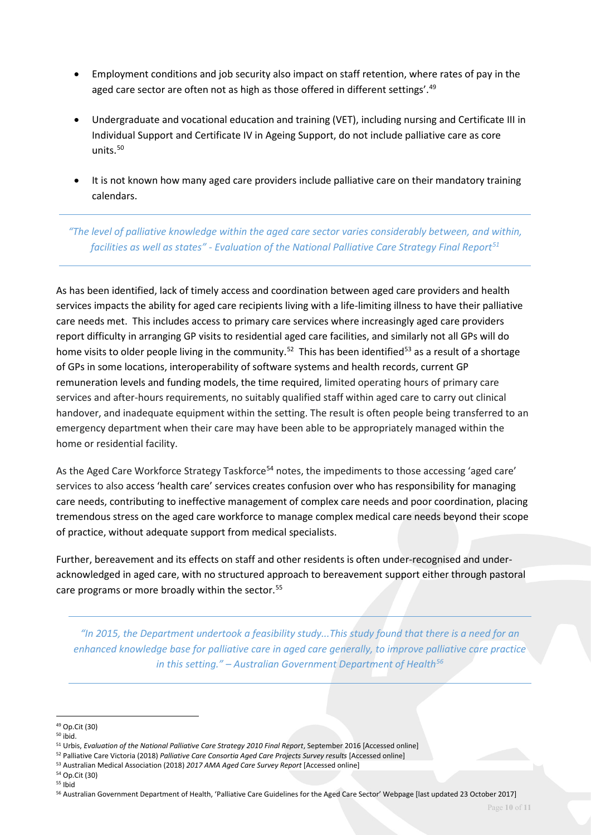- Employment conditions and job security also impact on staff retention, where rates of pay in the aged care sector are often not as high as those offered in different settings'.<sup>[49](#page-9-0)</sup>
- Undergraduate and vocational education and training (VET), including nursing and Certificate III in Individual Support and Certificate IV in Ageing Support, do not include palliative care as core units.[50](#page-9-1)
- It is not known how many aged care providers include palliative care on their mandatory training calendars.

*"The level of palliative knowledge within the aged care sector varies considerably between, and within, facilities as well as states" - Evaluation of the National Palliative Care Strategy Final Report[51](#page-9-2)*

As has been identified, lack of timely access and coordination between aged care providers and health services impacts the ability for aged care recipients living with a life-limiting illness to have their palliative care needs met. This includes access to primary care services where increasingly aged care providers report difficulty in arranging GP visits to residential aged care facilities, and similarly not all GPs will do home visits to older people living in the community.<sup>[52](#page-9-3)</sup> This has been identified<sup>[53](#page-9-4)</sup> as a result of a shortage of GPs in some locations, interoperability of software systems and health records, current GP remuneration levels and funding models, the time required, limited operating hours of primary care services and after-hours requirements, no suitably qualified staff within aged care to carry out clinical handover, and inadequate equipment within the setting. The result is often people being transferred to an emergency department when their care may have been able to be appropriately managed within the home or residential facility.

As the Aged Care Workforce Strategy Taskforce<sup>[54](#page-9-5)</sup> notes, the impediments to those accessing 'aged care' services to also access 'health care' services creates confusion over who has responsibility for managing care needs, contributing to ineffective management of complex care needs and poor coordination, placing tremendous stress on the aged care workforce to manage complex medical care needs beyond their scope of practice, without adequate support from medical specialists.

Further, bereavement and its effects on staff and other residents is often under-recognised and underacknowledged in aged care, with no structured approach to bereavement support either through pastoral care programs or more broadly within the sector.<sup>[55](#page-9-6)</sup>

*"In 2015, the Department undertook a feasibility study...This study found that there is a need for an enhanced knowledge base for palliative care in aged care generally, to improve palliative care practice in this setting." – Australian Government Department of Health[56](#page-9-7)*

<span id="page-9-0"></span><sup>49</sup> Op.Cit (30)

<span id="page-9-1"></span><sup>50</sup> ibid.

<span id="page-9-2"></span><sup>51</sup> Urbis, *Evaluation of the National Palliative Care Strategy 2010 Final Report*, September 2016 [Accessed online]

<span id="page-9-3"></span><sup>52</sup> Palliative Care Victoria (2018) *Palliative Care Consortia Aged Care Projects Survey results* [Accessed online]

<span id="page-9-4"></span><sup>53</sup> Australian Medical Association (2018) *2017 AMA Aged Care Survey Report* [Accessed online]

<span id="page-9-5"></span><sup>54</sup> Op.Cit (30) <sup>55</sup> Ibid

<span id="page-9-7"></span><span id="page-9-6"></span><sup>56</sup> Australian Government Department of Health, 'Palliative Care Guidelines for the Aged Care Sector' Webpage [last updated 23 October 2017]